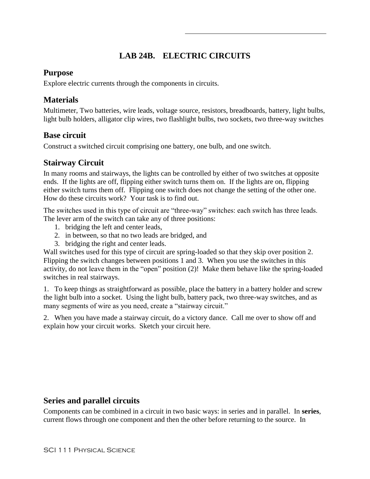# **LAB 24B. ELECTRIC CIRCUITS**

### **Purpose**

Explore electric currents through the components in circuits.

## **Materials**

Multimeter, Two batteries, wire leads, voltage source, resistors, breadboards, battery, light bulbs, light bulb holders, alligator clip wires, two flashlight bulbs, two sockets, two three-way switches

# **Base circuit**

Construct a switched circuit comprising one battery, one bulb, and one switch.

# **Stairway Circuit**

In many rooms and stairways, the lights can be controlled by either of two switches at opposite ends. If the lights are off, flipping either switch turns them on. If the lights are on, flipping either switch turns them off. Flipping one switch does not change the setting of the other one. How do these circuits work? Your task is to find out.

The switches used in this type of circuit are "three-way" switches: each switch has three leads. The lever arm of the switch can take any of three positions:

- 1. bridging the left and center leads,
- 2. in between, so that no two leads are bridged, and
- 3. bridging the right and center leads.

Wall switches used for this type of circuit are spring-loaded so that they skip over position 2. Flipping the switch changes between positions 1 and 3. When you use the switches in this activity, do not leave them in the "open" position (2)! Make them behave like the spring-loaded switches in real stairways.

1. To keep things as straightforward as possible, place the battery in a battery holder and screw the light bulb into a socket. Using the light bulb, battery pack, two three-way switches, and as many segments of wire as you need, create a "stairway circuit."

2. When you have made a stairway circuit, do a victory dance. Call me over to show off and explain how your circuit works. Sketch your circuit here.

## **Series and parallel circuits**

Components can be combined in a circuit in two basic ways: in series and in parallel. In **series**, current flows through one component and then the other before returning to the source. In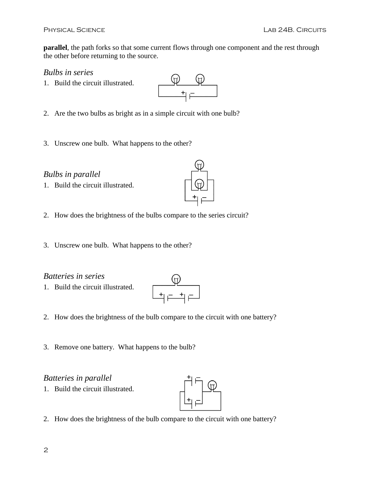**parallel**, the path forks so that some current flows through one component and the rest through the other before returning to the source.

 $\begin{picture}(120,10) \put(0,0){\line(1,0){155}} \put(15,0){\line(1,0){155}} \put(15,0){\line(1,0){155}} \put(15,0){\line(1,0){155}} \put(15,0){\line(1,0){155}} \put(15,0){\line(1,0){155}} \put(15,0){\line(1,0){155}} \put(15,0){\line(1,0){155}} \put(15,0){\line(1,0){155}} \put(15,0){\line(1,0){155}} \put(15,0){\line(1,0){155}}$ 

 $\bigoplus$ 

*Bulbs in series*

- 1. Build the circuit illustrated.
- 2. Are the two bulbs as bright as in a simple circuit with one bulb?
- 3. Unscrew one bulb. What happens to the other?

### *Bulbs in parallel*

1. Build the circuit illustrated.



3. Unscrew one bulb. What happens to the other?

#### *Batteries in series*

1. Build the circuit illustrated.



- 2. How does the brightness of the bulb compare to the circuit with one battery?
- 3. Remove one battery. What happens to the bulb?

### *Batteries in parallel*

1. Build the circuit illustrated.



2. How does the brightness of the bulb compare to the circuit with one battery?